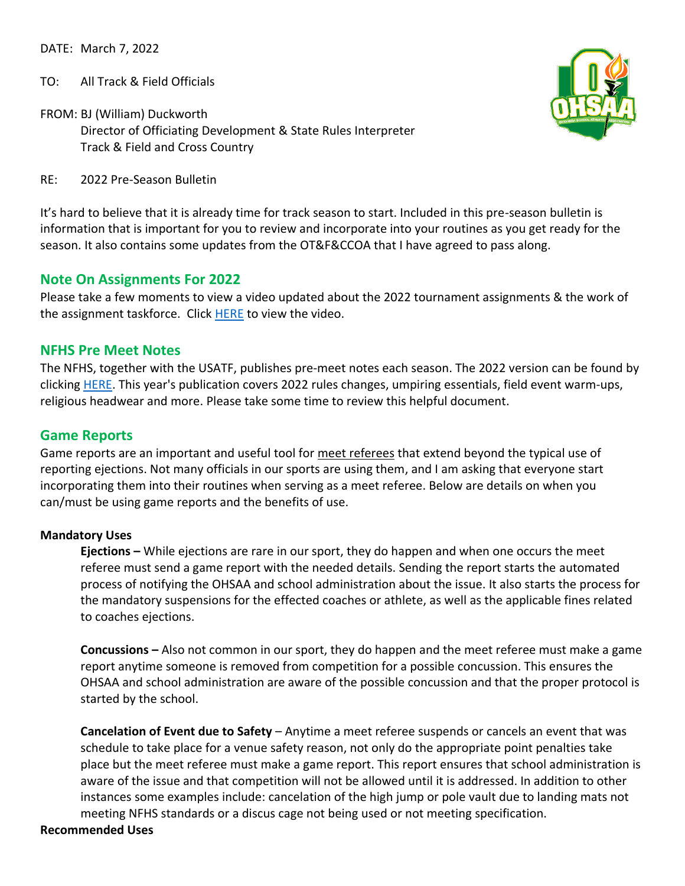DATE: March 7, 2022

TO: All Track & Field Officials

FROM: BJ (William) Duckworth Director of Officiating Development & State Rules Interpreter Track & Field and Cross Country



RE: 2022 Pre-Season Bulletin

It's hard to believe that it is already time for track season to start. Included in this pre-season bulletin is information that is important for you to review and incorporate into your routines as you get ready for the season. It also contains some updates from the OT&F&CCOA that I have agreed to pass along.

### **Note On Assignments For 2022**

Please take a few moments to view a video updated about the 2022 tournament assignments & the work of the assignment taskforce. Click [HERE](https://drive.google.com/file/d/1CurrpeGndKZ_Bsk-xRrd7JXVnvnLauaf/view?usp=sharing) to view the video.

#### **NFHS Pre Meet Notes**

The NFHS, together with the USATF, publishes pre-meet notes each season. The 2022 version can be found by clicking [HERE.](https://nfhs.org/media/5393714/nfhs-track-and-field-pre-meet-notes_2022-final.pdf) This year's publication covers 2022 rules changes, umpiring essentials, field event warm-ups, religious headwear and more. Please take some time to review this helpful document.

#### **Game Reports**

Game reports are an important and useful tool for meet referees that extend beyond the typical use of reporting ejections. Not many officials in our sports are using them, and I am asking that everyone start incorporating them into their routines when serving as a meet referee. Below are details on when you can/must be using game reports and the benefits of use.

#### **Mandatory Uses**

**Ejections –** While ejections are rare in our sport, they do happen and when one occurs the meet referee must send a game report with the needed details. Sending the report starts the automated process of notifying the OHSAA and school administration about the issue. It also starts the process for the mandatory suspensions for the effected coaches or athlete, as well as the applicable fines related to coaches ejections.

**Concussions –** Also not common in our sport, they do happen and the meet referee must make a game report anytime someone is removed from competition for a possible concussion. This ensures the OHSAA and school administration are aware of the possible concussion and that the proper protocol is started by the school.

**Cancelation of Event due to Safety** – Anytime a meet referee suspends or cancels an event that was schedule to take place for a venue safety reason, not only do the appropriate point penalties take place but the meet referee must make a game report. This report ensures that school administration is aware of the issue and that competition will not be allowed until it is addressed. In addition to other instances some examples include: cancelation of the high jump or pole vault due to landing mats not meeting NFHS standards or a discus cage not being used or not meeting specification.

#### **Recommended Uses**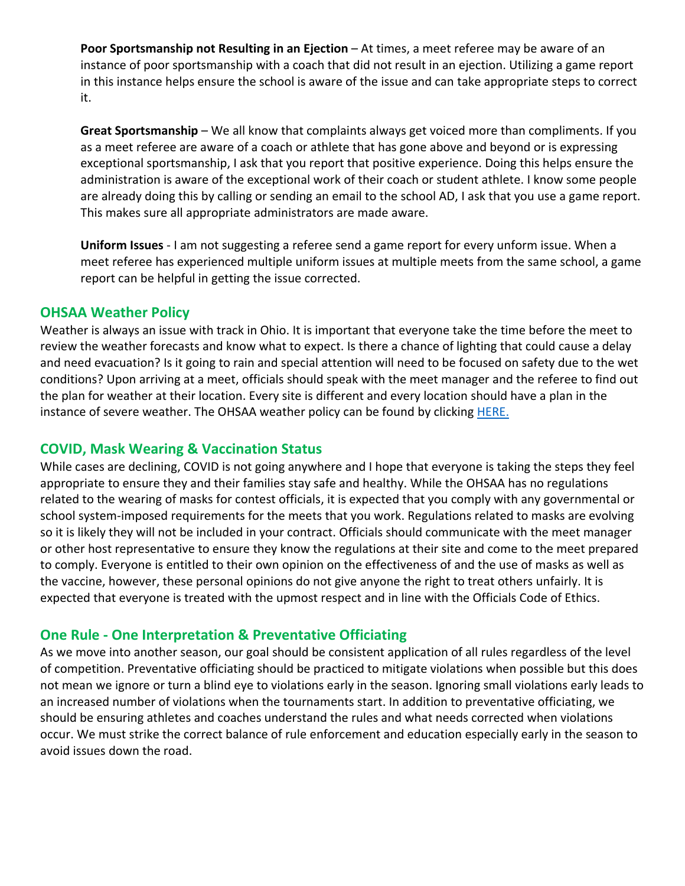**Poor Sportsmanship not Resulting in an Ejection** – At times, a meet referee may be aware of an instance of poor sportsmanship with a coach that did not result in an ejection. Utilizing a game report in this instance helps ensure the school is aware of the issue and can take appropriate steps to correct it.

**Great Sportsmanship** – We all know that complaints always get voiced more than compliments. If you as a meet referee are aware of a coach or athlete that has gone above and beyond or is expressing exceptional sportsmanship, I ask that you report that positive experience. Doing this helps ensure the administration is aware of the exceptional work of their coach or student athlete. I know some people are already doing this by calling or sending an email to the school AD, I ask that you use a game report. This makes sure all appropriate administrators are made aware.

**Uniform Issues** - I am not suggesting a referee send a game report for every unform issue. When a meet referee has experienced multiple uniform issues at multiple meets from the same school, a game report can be helpful in getting the issue corrected.

# **OHSAA Weather Policy**

Weather is always an issue with track in Ohio. It is important that everyone take the time before the meet to review the weather forecasts and know what to expect. Is there a chance of lighting that could cause a delay and need evacuation? Is it going to rain and special attention will need to be focused on safety due to the wet conditions? Upon arriving at a meet, officials should speak with the meet manager and the referee to find out the plan for weather at their location. Every site is different and every location should have a plan in the instance of severe weather. The OHSAA weather policy can be found by clicking [HERE.](https://www.ohsaa.org/sports/inclementweatherpolicy)

# **COVID, Mask Wearing & Vaccination Status**

While cases are declining, COVID is not going anywhere and I hope that everyone is taking the steps they feel appropriate to ensure they and their families stay safe and healthy. While the OHSAA has no regulations related to the wearing of masks for contest officials, it is expected that you comply with any governmental or school system-imposed requirements for the meets that you work. Regulations related to masks are evolving so it is likely they will not be included in your contract. Officials should communicate with the meet manager or other host representative to ensure they know the regulations at their site and come to the meet prepared to comply. Everyone is entitled to their own opinion on the effectiveness of and the use of masks as well as the vaccine, however, these personal opinions do not give anyone the right to treat others unfairly. It is expected that everyone is treated with the upmost respect and in line with the Officials Code of Ethics.

# **One Rule - One Interpretation & Preventative Officiating**

As we move into another season, our goal should be consistent application of all rules regardless of the level of competition. Preventative officiating should be practiced to mitigate violations when possible but this does not mean we ignore or turn a blind eye to violations early in the season. Ignoring small violations early leads to an increased number of violations when the tournaments start. In addition to preventative officiating, we should be ensuring athletes and coaches understand the rules and what needs corrected when violations occur. We must strike the correct balance of rule enforcement and education especially early in the season to avoid issues down the road.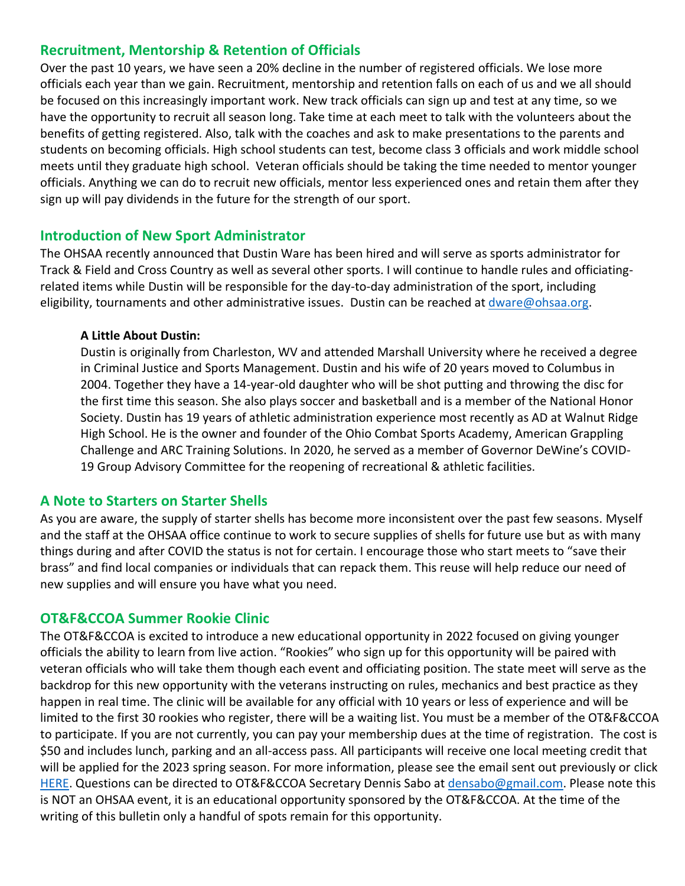# **Recruitment, Mentorship & Retention of Officials**

Over the past 10 years, we have seen a 20% decline in the number of registered officials. We lose more officials each year than we gain. Recruitment, mentorship and retention falls on each of us and we all should be focused on this increasingly important work. New track officials can sign up and test at any time, so we have the opportunity to recruit all season long. Take time at each meet to talk with the volunteers about the benefits of getting registered. Also, talk with the coaches and ask to make presentations to the parents and students on becoming officials. High school students can test, become class 3 officials and work middle school meets until they graduate high school. Veteran officials should be taking the time needed to mentor younger officials. Anything we can do to recruit new officials, mentor less experienced ones and retain them after they sign up will pay dividends in the future for the strength of our sport.

# **Introduction of New Sport Administrator**

The OHSAA recently announced that Dustin Ware has been hired and will serve as sports administrator for Track & Field and Cross Country as well as several other sports. I will continue to handle rules and officiatingrelated items while Dustin will be responsible for the day-to-day administration of the sport, including eligibility, tournaments and other administrative issues. Dustin can be reached a[t dware@ohsaa.org.](mailto:dware@ohsaa.org)

### **A Little About Dustin:**

Dustin is originally from Charleston, WV and attended Marshall University where he received a degree in Criminal Justice and Sports Management. Dustin and his wife of 20 years moved to Columbus in 2004. Together they have a 14-year-old daughter who will be shot putting and throwing the disc for the first time this season. She also plays soccer and basketball and is a member of the National Honor Society. Dustin has 19 years of athletic administration experience most recently as AD at Walnut Ridge High School. He is the owner and founder of the Ohio Combat Sports Academy, American Grappling Challenge and ARC Training Solutions. In 2020, he served as a member of Governor DeWine's COVID-19 Group Advisory Committee for the reopening of recreational & athletic facilities.

### **A Note to Starters on Starter Shells**

As you are aware, the supply of starter shells has become more inconsistent over the past few seasons. Myself and the staff at the OHSAA office continue to work to secure supplies of shells for future use but as with many things during and after COVID the status is not for certain. I encourage those who start meets to "save their brass" and find local companies or individuals that can repack them. This reuse will help reduce our need of new supplies and will ensure you have what you need.

# **OT&F&CCOA Summer Rookie Clinic**

The OT&F&CCOA is excited to introduce a new educational opportunity in 2022 focused on giving younger officials the ability to learn from live action. "Rookies" who sign up for this opportunity will be paired with veteran officials who will take them though each event and officiating position. The state meet will serve as the backdrop for this new opportunity with the veterans instructing on rules, mechanics and best practice as they happen in real time. The clinic will be available for any official with 10 years or less of experience and will be limited to the first 30 rookies who register, there will be a waiting list. You must be a member of the OT&F&CCOA to participate. If you are not currently, you can pay your membership dues at the time of registration. The cost is \$50 and includes lunch, parking and an all-access pass. All participants will receive one local meeting credit that will be applied for the 2023 spring season. For more information, please see the email sent out previously or click [HERE.](https://docs.google.com/forms/d/1m2ePeWBDHurZIq1AosjVk3PBDaiMt7vkwwLMXA6mVIY/edit#responses) Questions can be directed to OT&F&CCOA Secretary Dennis Sabo at [densabo@gmail.com.](mailto:densabo@gmail.com) Please note this is NOT an OHSAA event, it is an educational opportunity sponsored by the OT&F&CCOA. At the time of the writing of this bulletin only a handful of spots remain for this opportunity.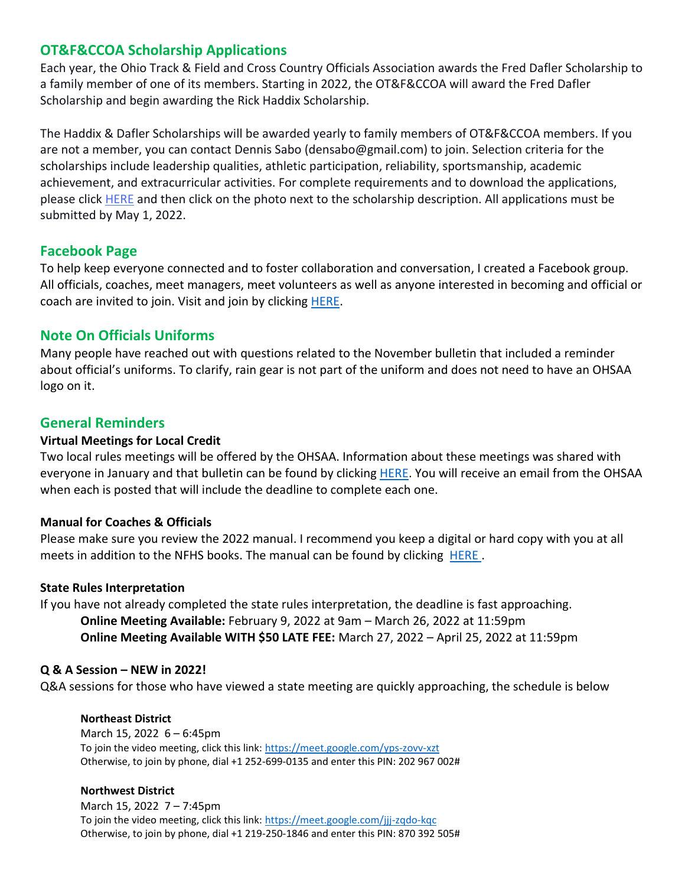# **OT&F&CCOA Scholarship Applications**

Each year, the Ohio Track & Field and Cross Country Officials Association awards the Fred Dafler Scholarship to a family member of one of its members. Starting in 2022, the OT&F&CCOA will award the Fred Dafler Scholarship and begin awarding the Rick Haddix Scholarship.

The Haddix & Dafler Scholarships will be awarded yearly to family members of OT&F&CCOA members. If you are not a member, you can contact Dennis Sabo (densabo@gmail.com) to join. Selection criteria for the scholarships include leadership qualities, athletic participation, reliability, sportsmanship, academic achievement, and extracurricular activities. For complete requirements and to download the applications, please click [HERE](https://otfccoa.wixsite.com/ohiotrackofficials/forms) and then click on the photo next to the scholarship description. All applications must be submitted by May 1, 2022.

# **Facebook Page**

To help keep everyone connected and to foster collaboration and conversation, I created a Facebook group. All officials, coaches, meet managers, meet volunteers as well as anyone interested in becoming and official or coach are invited to join. Visit and join by clicking [HERE.](https://www.facebook.com/groups/ohiohstrackandcross/)

### **Note On Officials Uniforms**

Many people have reached out with questions related to the November bulletin that included a reminder about official's uniforms. To clarify, rain gear is not part of the uniform and does not need to have an OHSAA logo on it.

# **General Reminders**

### **Virtual Meetings for Local Credit**

Two local rules meetings will be offered by the OHSAA. Information about these meetings was shared with everyone in January and that bulletin can be found by clicking [HERE.](https://www.ohsaa.org/Officiating/DOD) You will receive an email from the OHSAA when each is posted that will include the deadline to complete each one.

### **Manual for Coaches & Officials**

Please make sure you review the 2022 manual. I recommend you keep a digital or hard copy with you at all meets in addition to the NFHS books. The manual can be found by clicking [HERE](https://www.ohsaa.org/sports/track) .

### **State Rules Interpretation**

If you have not already completed the state rules interpretation, the deadline is fast approaching. **Online Meeting Available:** February 9, 2022 at 9am – March 26, 2022 at 11:59pm **Online Meeting Available WITH \$50 LATE FEE:** March 27, 2022 – April 25, 2022 at 11:59pm

### **Q & A Session – NEW in 2022!**

Q&A sessions for those who have viewed a state meeting are quickly approaching, the schedule is below

### **Northeast District**

March 15, 2022 6 – 6:45pm To join the video meeting, click this link:<https://meet.google.com/yps-zovv-xzt> Otherwise, to join by phone, dial +1 252-699-0135 and enter this PIN: 202 967 002#

### **Northwest District**

March 15, 2022 7 – 7:45pm To join the video meeting, click this link:<https://meet.google.com/jjj-zqdo-kqc> Otherwise, to join by phone, dial +1 219-250-1846 and enter this PIN: 870 392 505#